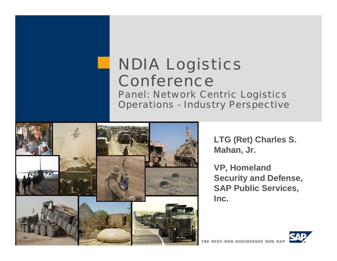# NDIA Logistics Conference

Panel: Network Centric Logistics Operations - Industry Perspective



**LTG (Ret) Charles S. Mahan, Jr.**

**VP, Homeland Security and Defense, SAP Public Services, Inc.**

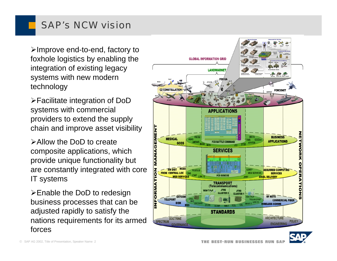### SAP's NCW vision

¾Improve end-to-end, factory to foxhole logistics by enabling the integration of existing legacy systems with new modern technology

¾Facilitate integration of DoD systems with commercial providers to extend the supply chain and improve asset visibility

¾Allow the DoD to create composite applications, which provide unique functionality but are constantly integrated with core IT systems

¾Enable the DoD to redesign business processes that can be adjusted rapidly to satisfy the nations requirements for its armed forces



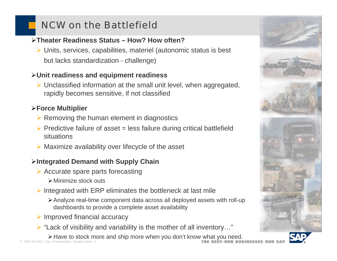# NCW on the Battlefield

### ¾**Theater Readiness Status – How? How often?**

¾ Units, services, capabilities, materiel (autonomic status is best but lacks standardization - challenge)

### ¾**Unit readiness and equipment readiness**

¾ Unclassified information at the small unit level, when aggregated, rapidly becomes sensitive, if not classified

### ¾**Force Multiplier**

- $\triangleright$  Removing the human element in diagnostics
- $\triangleright$  Predictive failure of asset = less failure during critical battlefield situations
- $\triangleright$  Maximize availability over lifecycle of the asset

### ¾**Integrated Demand with Supply Chain**

- $\triangleright$  Accurate spare parts forecasting
	- ¾Minimize stock outs
- $\triangleright$  Integrated with ERP eliminates the bottleneck at last mile
	- ¾Analyze real-time component data across all deployed assets with roll-up dashboards to provide a complete asset availability
- $\triangleright$  Improved financial accuracy
- $\triangleright$  "Lack of visibility and variability is the mother of all inventory..."
- ¾Have to stock more and ship more when you don't know what you need.

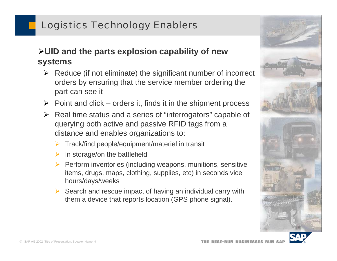## Logistics Technology Enablers

### ¾**UID and the parts explosion capability of new systems**

- $\triangleright$  Reduce (if not eliminate) the significant number of incorrect orders by ensuring that the service member ordering the part can see it
- $\triangleright$  Point and click orders it, finds it in the shipment process
- ¾ Real time status and a series of "interrogators" capable of querying both active and passive RFID tags from a distance and enables organizations to:
	- ¾Track/find people/equipment/materiel in transit
	- ¾In storage/on the battlefield
	- ¾ Perform inventories (including weapons, munitions, sensitive items, drugs, maps, clothing, supplies, etc) in seconds vice hours/days/weeks
	- $\triangleright$  Search and rescue impact of having an individual carry with them a device that reports location (GPS phone signal).



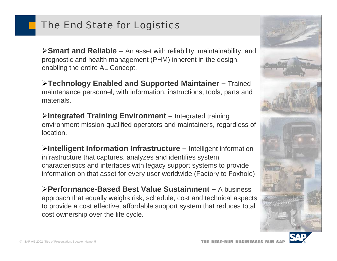### The End State for Logistics

¾**Smart and Reliable –** An asset with reliability, maintainability, and prognostic and health management (PHM) inherent in the design, enabling the entire AL Concept.

¾**Technology Enabled and Supported Maintainer –** Trained maintenance personnel, with information, instructions, tools, parts and materials.

¾**Integrated Training Environment –** Integrated training environment mission-qualified operators and maintainers, regardless of location.

¾**Intelligent Information Infrastructure –** Intelligent information infrastructure that captures, analyzes and identifies system characteristics and interfaces with legacy support systems to provide information on that asset for every user worldwide (Factory to Foxhole)

¾**Performance-Based Best Value Sustainment –** A business approach that equally weighs risk, schedule, cost and technical aspects to provide a cost effective, affordable support system that reduces total cost ownership over the life cycle.